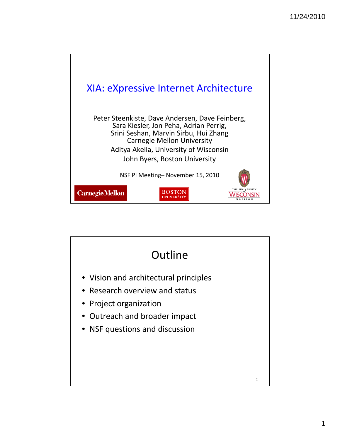

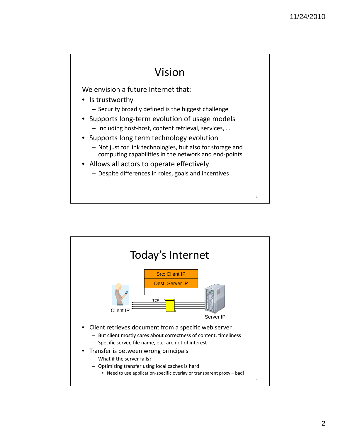#### Vision

We envision a future Internet that:

- Is trustworthy
	- Security broadly defined is the biggest challenge
- Supports long‐term evolution of usage models
	- Including host‐host, content retrieval, services, …
- Supports long term technology evolution
	- Not just for link technologies, but also for storage and computing capabilities in the network and end‐points
- Allows all actors to operate effectively
	- Despite differences in roles, goals and incentives

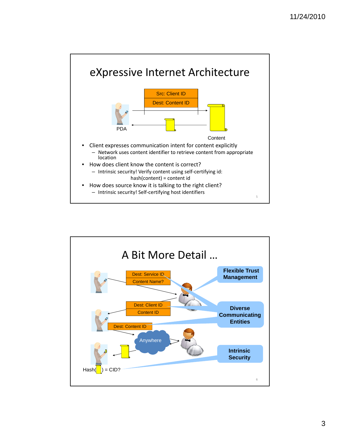

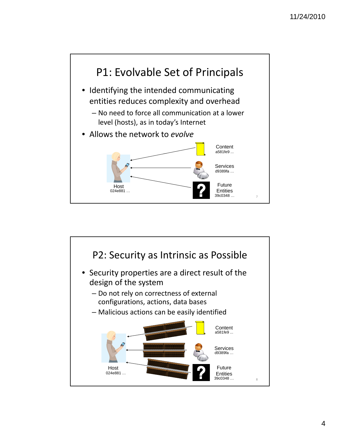

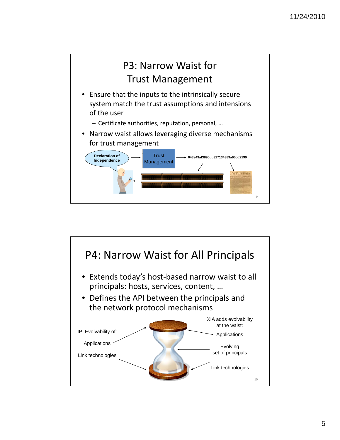

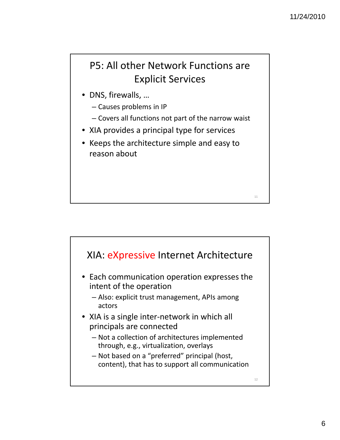### P5: All other Network Functions are Explicit Services

- DNS, firewalls, …
	- Causes problems in IP
	- Covers all functions not part of the narrow waist
- XIA provides a principal type for services
- Keeps the architecture simple and easy to reason about

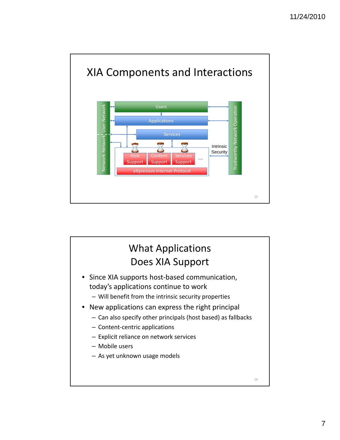

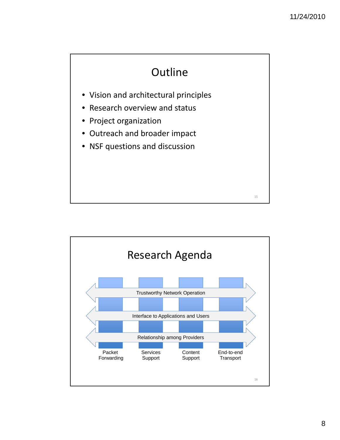

- Vision and architectural principles
- Research overview and status
- Project organization
- Outreach and broader impact
- NSF questions and discussion

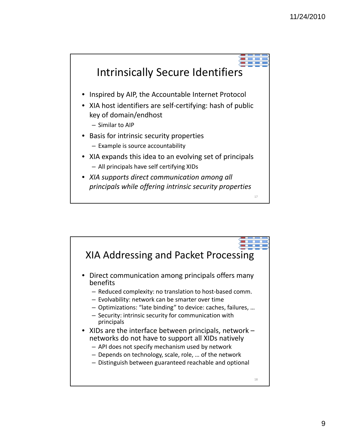

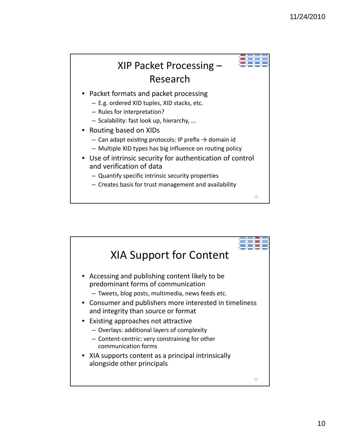

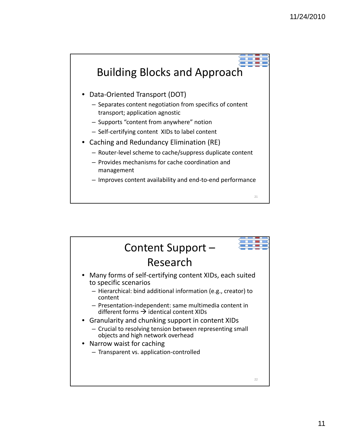

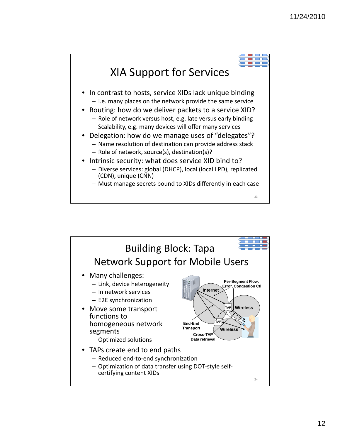

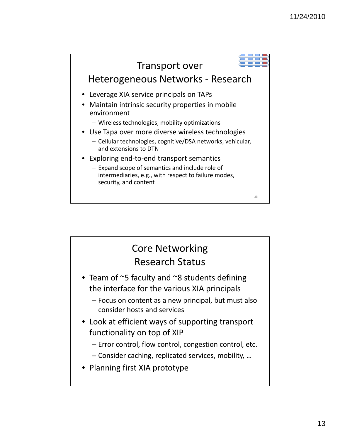

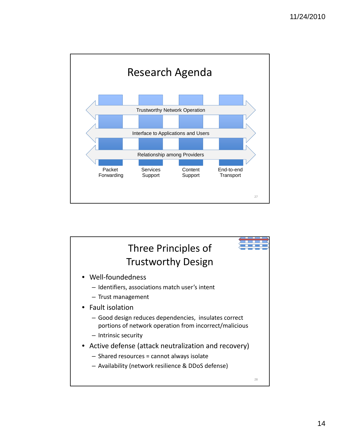

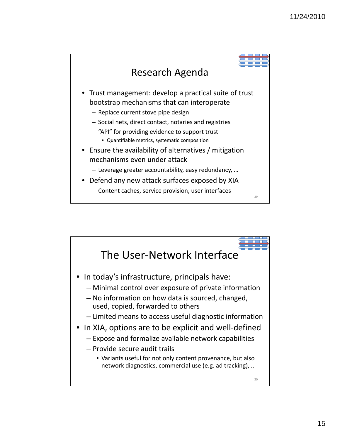

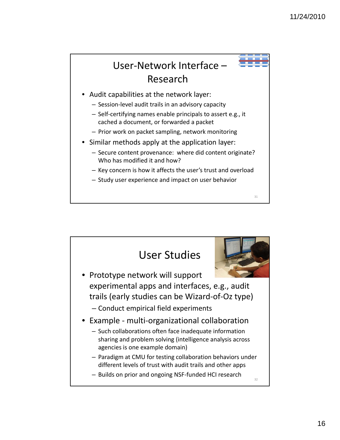## User‐Network Interface – Research

- Audit capabilities at the network layer:
	- Session-level audit trails in an advisory capacity
	- Self‐certifying names enable principals to assert e.g., it cached a document, or forwarded a packet
	- Prior work on packet sampling, network monitoring
- Similar methods apply at the application layer:
	- Secure content provenance: where did content originate? Who has modified it and how?
	- Key concern is how it affects the user's trust and overload

31

– Study user experience and impact on user behavior

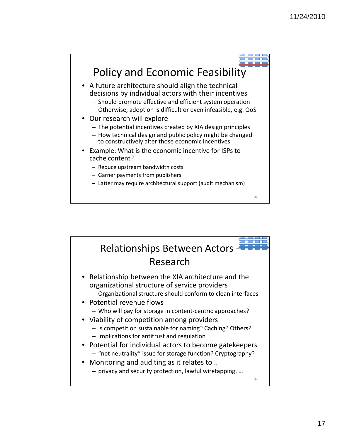

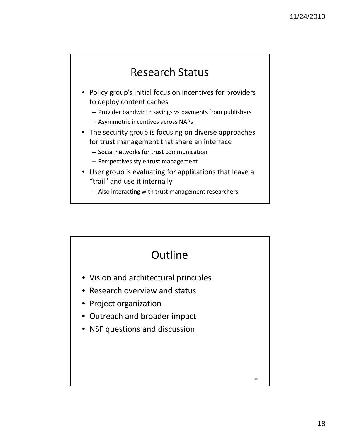### Research Status

- Policy group's initial focus on incentives for providers to deploy content caches
	- Provider bandwidth savings vs payments from publishers
	- Asymmetric incentives across NAPs
- The security group is focusing on diverse approaches for trust management that share an interface
	- Social networks for trust communication
	- Perspectives style trust management
- User group is evaluating for applications that leave a "trail" and use it internally
	- Also interacting with trust management researchers

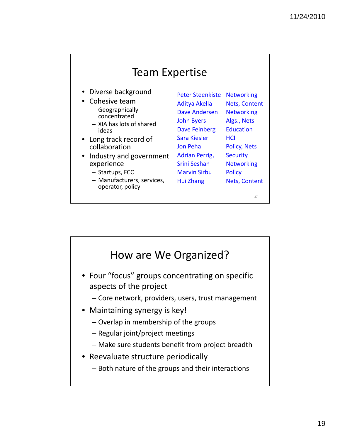|  | <b>Team Expertise</b> |
|--|-----------------------|
|--|-----------------------|

- Diverse background
- Cohesive team
	- Geographically concentrated
	- XIA has lots of shared ideas
- Long track record of collaboration
- Industry and government Adrian Perrig, Securit experience
	- Startups, FCC
	- Manufacturers, services, operator, policy

Peter Steenkiste Networking Aditya Akella Dave Andersen John Byers Dave Feinberg Sara Kiesler Jon Peha Adrian Perrig, Srini Seshan Marvin Sirbu Hui Zhang

**Nets, Content Networking** Algs., Nets **Education HCI** Policy, Nets **Security Networking Policy** Nets, Content

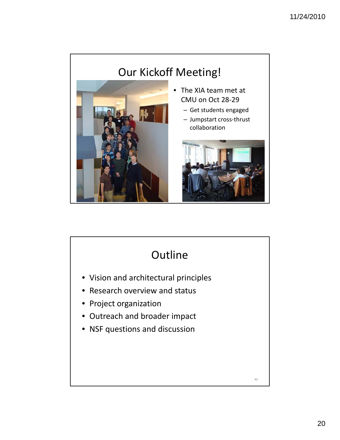

# **Outline**

- Vision and architectural principles
- Research overview and status
- Project organization
- Outreach and broader impact
- NSF questions and discussion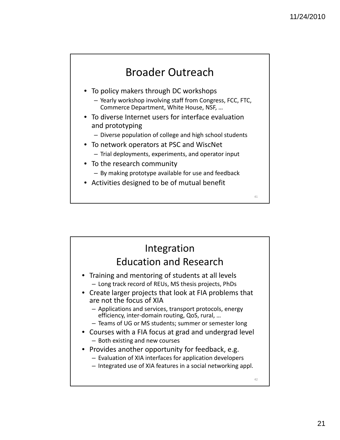### Broader Outreach

- To policy makers through DC workshops
	- Yearly workshop involving staff from Congress, FCC, FTC, Commerce Department, White House, NSF, …
- To diverse Internet users for interface evaluation and prototyping
	- Diverse population of college and high school students
- To network operators at PSC and WiscNet  $-$  Trial deployments, experiments, and operator input
- To the research community – By making prototype available for use and feedback
- Activities designed to be of mutual benefit

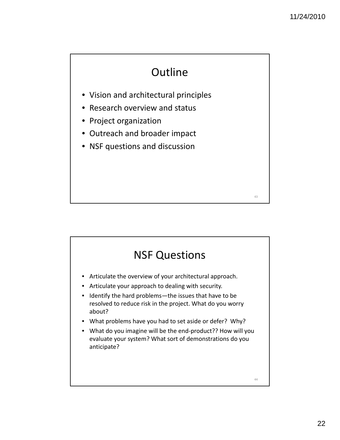# **Outline**

- Vision and architectural principles
- Research overview and status
- Project organization
- Outreach and broader impact
- NSF questions and discussion

### NSF Questions

- Articulate the overview of your architectural approach.
- Articulate your approach to dealing with security.
- Identify the hard problems—the issues that have to be resolved to reduce risk in the project. What do you worry about?
- What problems have you had to set aside or defer? Why?
- What do you imagine will be the end-product?? How will you evaluate your system? What sort of demonstrations do you anticipate?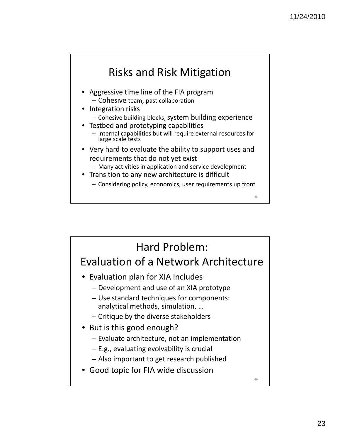

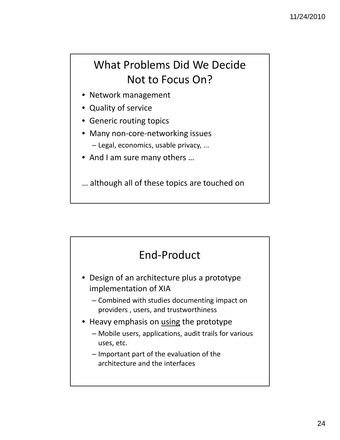# What Problems Did We Decide Not to Focus On?

- Network management
- Quality of service
- Generic routing topics
- Many non-core-networking issues
	- Legal, economics, usable privacy, ...
- And I am sure many others ...

… although all of these topics are touched on